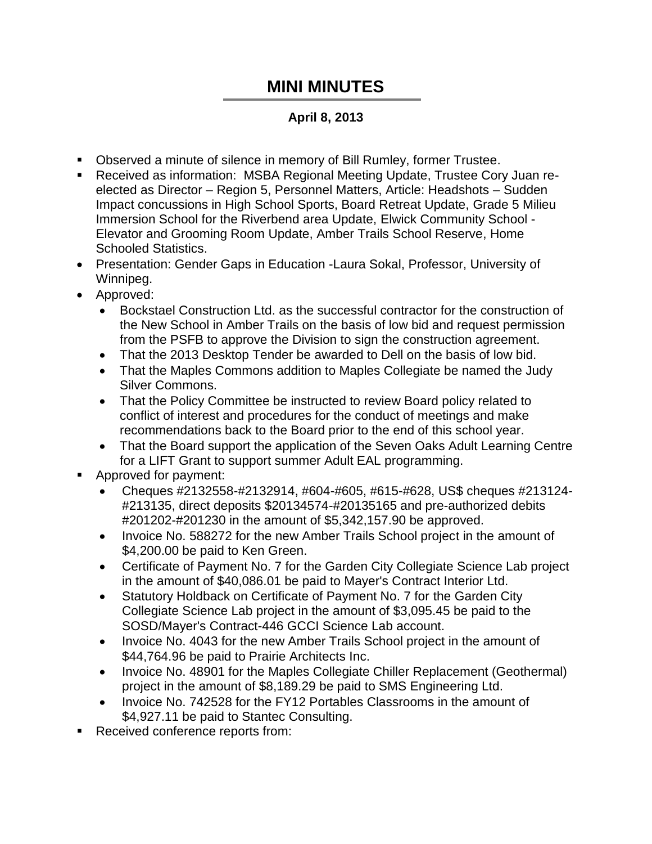## **MINI MINUTES**

## **April 8, 2013**

- Observed a minute of silence in memory of Bill Rumley, former Trustee.
- Received as information: MSBA Regional Meeting Update, Trustee Cory Juan reelected as Director – Region 5, Personnel Matters, Article: Headshots – Sudden Impact concussions in High School Sports, Board Retreat Update, Grade 5 Milieu Immersion School for the Riverbend area Update, Elwick Community School - Elevator and Grooming Room Update, Amber Trails School Reserve, Home Schooled Statistics.
- Presentation: Gender Gaps in Education -Laura Sokal, Professor, University of Winnipeg.
- Approved:
	- Bockstael Construction Ltd. as the successful contractor for the construction of the New School in Amber Trails on the basis of low bid and request permission from the PSFB to approve the Division to sign the construction agreement.
	- That the 2013 Desktop Tender be awarded to Dell on the basis of low bid.
	- That the Maples Commons addition to Maples Collegiate be named the Judy Silver Commons.
	- That the Policy Committee be instructed to review Board policy related to conflict of interest and procedures for the conduct of meetings and make recommendations back to the Board prior to the end of this school year.
	- That the Board support the application of the Seven Oaks Adult Learning Centre for a LIFT Grant to support summer Adult EAL programming.
- Approved for payment:
	- Cheques #2132558-#2132914, #604-#605, #615-#628, US\$ cheques #213124- #213135, direct deposits \$20134574-#20135165 and pre-authorized debits #201202-#201230 in the amount of \$5,342,157.90 be approved.
	- Invoice No. 588272 for the new Amber Trails School project in the amount of \$4,200.00 be paid to Ken Green.
	- Certificate of Payment No. 7 for the Garden City Collegiate Science Lab project in the amount of \$40,086.01 be paid to Mayer's Contract Interior Ltd.
	- Statutory Holdback on Certificate of Payment No. 7 for the Garden City Collegiate Science Lab project in the amount of \$3,095.45 be paid to the SOSD/Mayer's Contract-446 GCCI Science Lab account.
	- Invoice No. 4043 for the new Amber Trails School project in the amount of \$44,764.96 be paid to Prairie Architects Inc.
	- Invoice No. 48901 for the Maples Collegiate Chiller Replacement (Geothermal) project in the amount of \$8,189.29 be paid to SMS Engineering Ltd.
	- Invoice No. 742528 for the FY12 Portables Classrooms in the amount of \$4,927.11 be paid to Stantec Consulting.
- Received conference reports from: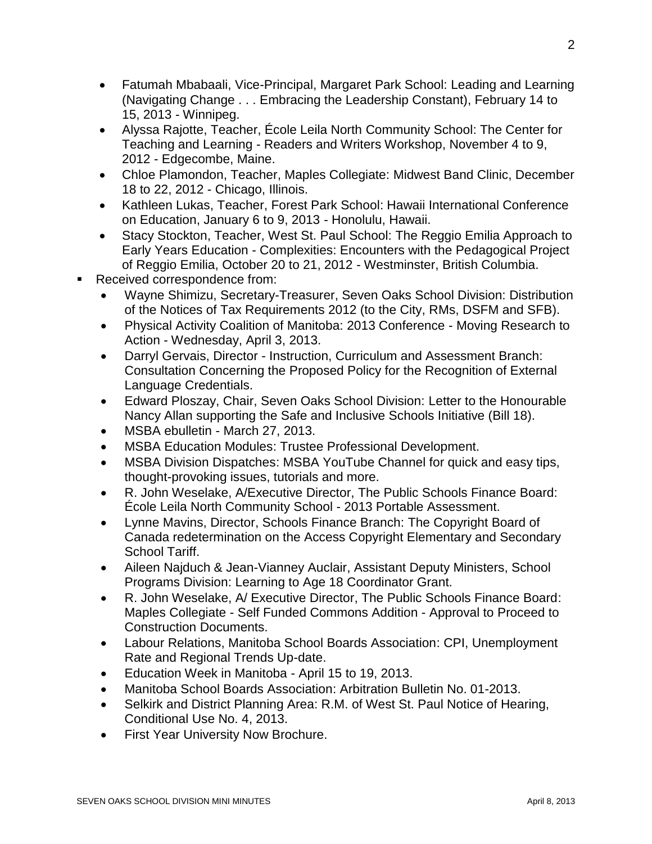- Fatumah Mbabaali, Vice-Principal, Margaret Park School: Leading and Learning (Navigating Change . . . Embracing the Leadership Constant), February 14 to 15, 2013 - Winnipeg.
- Alyssa Rajotte, Teacher, École Leila North Community School: The Center for Teaching and Learning - Readers and Writers Workshop, November 4 to 9, 2012 - Edgecombe, Maine.
- Chloe Plamondon, Teacher, Maples Collegiate: Midwest Band Clinic, December 18 to 22, 2012 - Chicago, Illinois.
- Kathleen Lukas, Teacher, Forest Park School: Hawaii International Conference on Education, January 6 to 9, 2013 - Honolulu, Hawaii.
- Stacy Stockton, Teacher, West St. Paul School: The Reggio Emilia Approach to Early Years Education - Complexities: Encounters with the Pedagogical Project of Reggio Emilia, October 20 to 21, 2012 - Westminster, British Columbia.
- Received correspondence from:
	- Wayne Shimizu, Secretary-Treasurer, Seven Oaks School Division: Distribution of the Notices of Tax Requirements 2012 (to the City, RMs, DSFM and SFB).
	- Physical Activity Coalition of Manitoba: 2013 Conference Moving Research to Action - Wednesday, April 3, 2013.
	- Darryl Gervais, Director Instruction, Curriculum and Assessment Branch: Consultation Concerning the Proposed Policy for the Recognition of External Language Credentials.
	- Edward Ploszay, Chair, Seven Oaks School Division: Letter to the Honourable Nancy Allan supporting the Safe and Inclusive Schools Initiative (Bill 18).
	- MSBA ebulletin March 27, 2013.
	- MSBA Education Modules: Trustee Professional Development.
	- MSBA Division Dispatches: MSBA YouTube Channel for quick and easy tips, thought-provoking issues, tutorials and more.
	- R. John Weselake, A/Executive Director, The Public Schools Finance Board: École Leila North Community School - 2013 Portable Assessment.
	- Lynne Mavins, Director, Schools Finance Branch: The Copyright Board of Canada redetermination on the Access Copyright Elementary and Secondary School Tariff.
	- Aileen Najduch & Jean-Vianney Auclair, Assistant Deputy Ministers, School Programs Division: Learning to Age 18 Coordinator Grant.
	- R. John Weselake, A/ Executive Director, The Public Schools Finance Board: Maples Collegiate - Self Funded Commons Addition - Approval to Proceed to Construction Documents.
	- Labour Relations, Manitoba School Boards Association: CPI, Unemployment Rate and Regional Trends Up-date.
	- Education Week in Manitoba April 15 to 19, 2013.
	- Manitoba School Boards Association: Arbitration Bulletin No. 01-2013.
	- Selkirk and District Planning Area: R.M. of West St. Paul Notice of Hearing, Conditional Use No. 4, 2013.
	- First Year University Now Brochure.